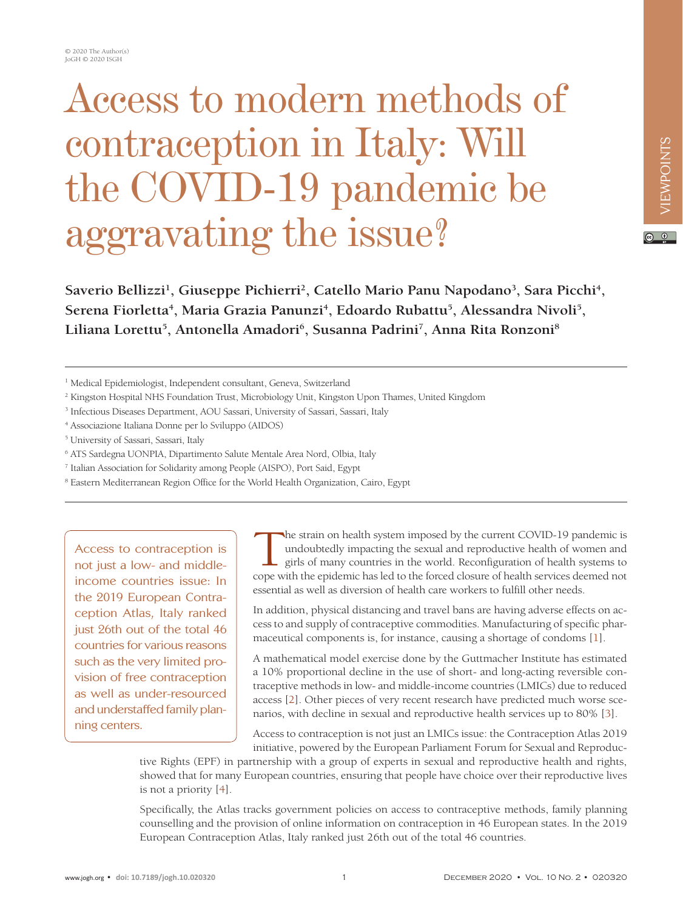# Access to modern methods of contraception in Italy: Will the COVID-19 pandemic be aggravating the issue?

Saverio Bellizzi<sup>1</sup>, Giuseppe Pichierri<sup>2</sup>, Catello Mario Panu Napodano<sup>3</sup>, Sara Picchi<sup>4</sup>, Serena Fiorletta<sup>4</sup>, Maria Grazia Panunzi<sup>4</sup>, Edoardo Rubattu<sup>5</sup>, Alessandra Nivoli<sup>5</sup>, **Liliana Lorettu5 , Antonella Amadori6 , Susanna Padrini7 , Anna Rita Ronzoni8**

- 2 Kingston Hospital NHS Foundation Trust, Microbiology Unit, Kingston Upon Thames, United Kingdom
- <sup>3</sup> Infectious Diseases Department, AOU Sassari, University of Sassari, Sassari, Italy
- 4 Associazione Italiana Donne per lo Sviluppo (AIDOS)
- 5 University of Sassari, Sassari, Italy
- 6 ATS Sardegna UONPIA, Dipartimento Salute Mentale Area Nord, Olbia, Italy
- 7 Italian Association for Solidarity among People (AISPO), Port Said, Egypt
- <sup>8</sup> Eastern Mediterranean Region Office for the World Health Organization, Cairo, Egypt

Access to contraception is not just a low- and middleincome countries issue: In the 2019 European Contraception Atlas, Italy ranked just 26th out of the total 46 countries for various reasons such as the very limited provision of free contraception as well as under-resourced and understaffed family planning centers.

The strain on health system imposed by the current COVID-19 pandemic is undoubtedly impacting the sexual and reproductive health of women and girls of many countries in the world. Reconfiguration of health systems to cope with the epidemic has led to the forced closure of health services deemed not essential as well as diversion of health care workers to fulfill other needs.

In addition, physical distancing and travel bans are having adverse effects on access to and supply of contraceptive commodities. Manufacturing of specific pharmaceutical components is, for instance, causing a shortage of condoms [\[1](#page-2-0)].

A mathematical model exercise done by the Guttmacher Institute has estimated a 10% proportional decline in the use of short- and long-acting reversible contraceptive methods in low- and middle-income countries (LMICs) due to reduced access [[2](#page-2-1)]. Other pieces of very recent research have predicted much worse scenarios, with decline in sexual and reproductive health services up to 80% [[3\]](#page-2-2).

Access to contraception is not just an LMICs issue: the Contraception Atlas 2019 initiative, powered by the European Parliament Forum for Sexual and Reproduc-

tive Rights (EPF) in partnership with a group of experts in sexual and reproductive health and rights, showed that for many European countries, ensuring that people have choice over their reproductive lives is not a priority [\[4](#page-2-3)].

Specifically, the Atlas tracks government policies on access to contraceptive methods, family planning counselling and the provision of online information on contraception in 46 European states. In the 2019 European Contraception Atlas, Italy ranked just 26th out of the total 46 countries.

<sup>&</sup>lt;sup>1</sup> Medical Epidemiologist, Independent consultant, Geneva, Switzerland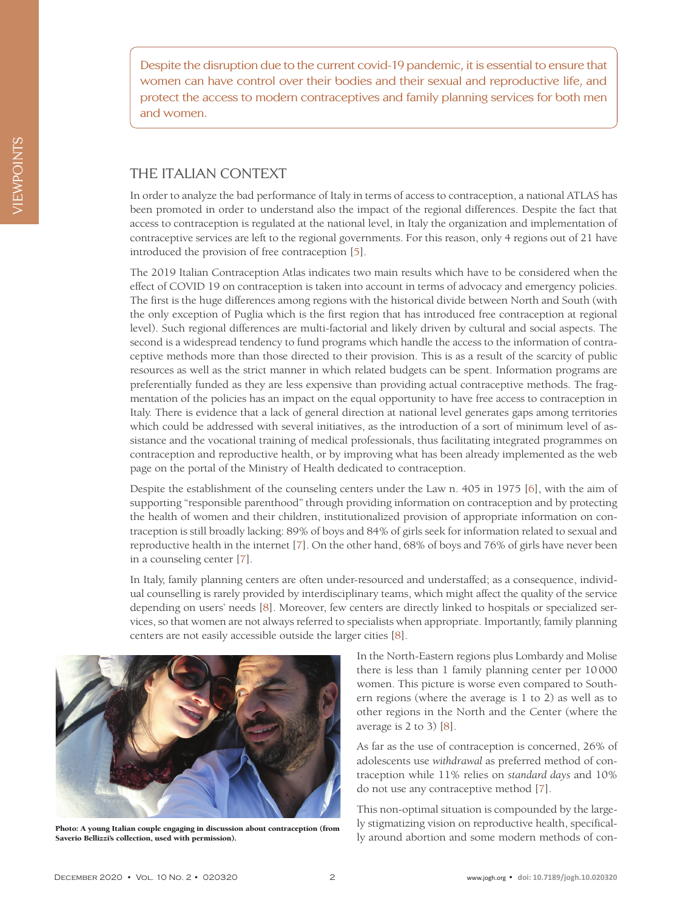Despite the disruption due to the current covid-19 pandemic, it is essential to ensure that women can have control over their bodies and their sexual and reproductive life, and protect the access to modern contraceptives and family planning services for both men and women.

## THE ITALIAN CONTEXT

In order to analyze the bad performance of Italy in terms of access to contraception, a national ATLAS has been promoted in order to understand also the impact of the regional differences. Despite the fact that access to contraception is regulated at the national level, in Italy the organization and implementation of contraceptive services are left to the regional governments. For this reason, only 4 regions out of 21 have introduced the provision of free contraception [\[5\]](#page-2-4).

The 2019 Italian Contraception Atlas indicates two main results which have to be considered when the effect of COVID 19 on contraception is taken into account in terms of advocacy and emergency policies. The first is the huge differences among regions with the historical divide between North and South (with the only exception of Puglia which is the first region that has introduced free contraception at regional level). Such regional differences are multi-factorial and likely driven by cultural and social aspects. The second is a widespread tendency to fund programs which handle the access to the information of contraceptive methods more than those directed to their provision. This is as a result of the scarcity of public resources as well as the strict manner in which related budgets can be spent. Information programs are preferentially funded as they are less expensive than providing actual contraceptive methods. The fragmentation of the policies has an impact on the equal opportunity to have free access to contraception in Italy. There is evidence that a lack of general direction at national level generates gaps among territories which could be addressed with several initiatives, as the introduction of a sort of minimum level of assistance and the vocational training of medical professionals, thus facilitating integrated programmes on contraception and reproductive health, or by improving what has been already implemented as the web page on the portal of the Ministry of Health dedicated to contraception.

Despite the establishment of the counseling centers under the Law n. 405 in 1975 [[6](#page-2-5)], with the aim of supporting "responsible parenthood" through providing information on contraception and by protecting the health of women and their children, institutionalized provision of appropriate information on contraception is still broadly lacking: 89% of boys and 84% of girls seek for information related to sexual and reproductive health in the internet [\[7\]](#page-3-0). On the other hand, 68% of boys and 76% of girls have never been in a counseling center [\[7\]](#page-3-0).

In Italy, family planning centers are often under-resourced and understaffed; as a consequence, individual counselling is rarely provided by interdisciplinary teams, which might affect the quality of the service depending on users' needs [\[8\]](#page-3-1). Moreover, few centers are directly linked to hospitals or specialized services, so that women are not always referred to specialists when appropriate. Importantly, family planning centers are not easily accessible outside the larger cities [\[8\]](#page-3-1).



Photo: A young Italian couple engaging in discussion about contraception (from the substitution and some modern methods of con-<br>Paverio Bellizzi's collection, used with permission). Paround abortion and some modern methods Saverio Bellizzi's collection, used with permission).

In the North-Eastern regions plus Lombardy and Molise there is less than 1 family planning center per 10000 women. This picture is worse even compared to Southern regions (where the average is 1 to 2) as well as to other regions in the North and the Center (where the average is 2 to 3) [\[8](#page-3-1)].

As far as the use of contraception is concerned, 26% of adolescents use *withdrawal* as preferred method of contraception while 11% relies on *standard days* and 10% do not use any contraceptive method [[7](#page-3-0)].

This non-optimal situation is compounded by the largely stigmatizing vision on reproductive health, specifical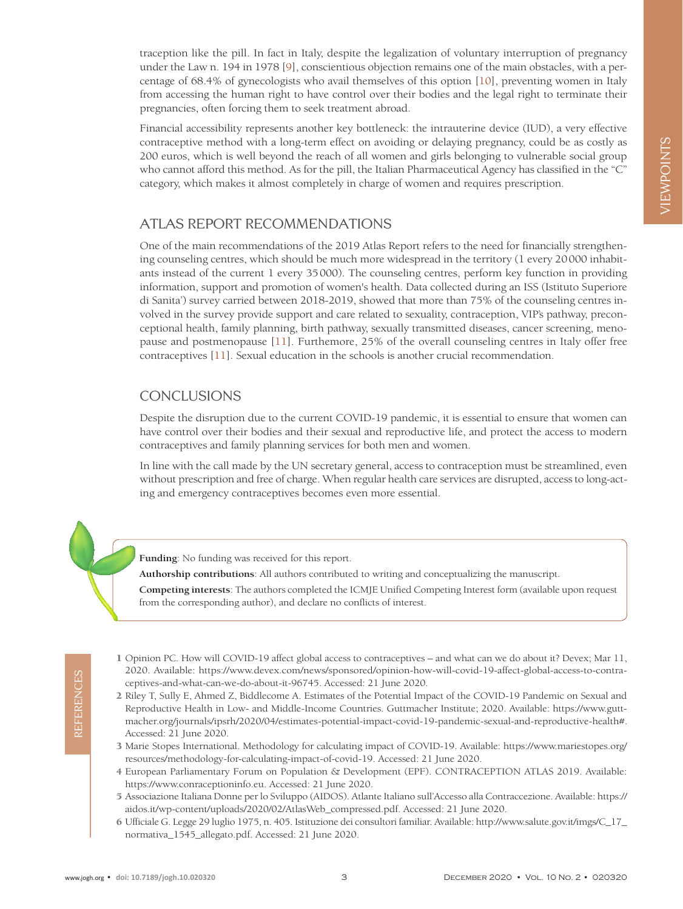traception like the pill. In fact in Italy, despite the legalization of voluntary interruption of pregnancy under the Law n. 194 in 1978 [\[9\]](#page-3-2), conscientious objection remains one of the main obstacles, with a percentage of 68.4% of gynecologists who avail themselves of this option [[10](#page-3-3)], preventing women in Italy from accessing the human right to have control over their bodies and the legal right to terminate their pregnancies, often forcing them to seek treatment abroad.

Financial accessibility represents another key bottleneck: the intrauterine device (IUD), a very effective contraceptive method with a long-term effect on avoiding or delaying pregnancy, could be as costly as 200 euros, which is well beyond the reach of all women and girls belonging to vulnerable social group who cannot afford this method. As for the pill, the Italian Pharmaceutical Agency has classified in the "C" category, which makes it almost completely in charge of women and requires prescription.

### ATLAS REPORT RECOMMENDATIONS

One of the main recommendations of the 2019 Atlas Report refers to the need for financially strengthening counseling centres, which should be much more widespread in the territory (1 every 20000 inhabitants instead of the current 1 every 35000). The counseling centres, perform key function in providing information, support and promotion of women's health. Data collected during an ISS (Istituto Superiore di Sanita') survey carried between 2018-2019, showed that more than 75% of the counseling centres involved in the survey provide support and care related to sexuality, contraception, VIP's pathway, preconceptional health, family planning, birth pathway, sexually transmitted diseases, cancer screening, menopause and postmenopause [[11](#page-3-4)]. Furthemore, 25% of the overall counseling centres in Italy offer free contraceptives [[11](#page-3-4)]. Sexual education in the schools is another crucial recommendation.

### **CONCLUSIONS**

Despite the disruption due to the current COVID-19 pandemic, it is essential to ensure that women can have control over their bodies and their sexual and reproductive life, and protect the access to modern contraceptives and family planning services for both men and women.

In line with the call made by the UN secretary general, access to contraception must be streamlined, even without prescription and free of charge. When regular health care services are disrupted, access to long-acting and emergency contraceptives becomes even more essential.

**Funding**: No funding was received for this report.

**Authorship contributions**: All authors contributed to writing and conceptualizing the manuscript.

**Competing interests**: The authors completed the ICMJE Unified Competing Interest form (available upon request from the corresponding author), and declare no conflicts of interest.

- <span id="page-2-0"></span> 1 Opinion PC. How will COVID-19 affect global access to contraceptives – and what can we do about it? Devex; Mar 11, 2020. Available: [https://www.devex.com/news/sponsored/opinion-how-will-covid-19-affect-global-access-to-contra](https://www.devex.com/news/sponsored/opinion-how-will-covid-19-affect-global-access-to-contraceptives-and-what-can-we-do-about-it-96745)[ceptives-and-what-can-we-do-about-it-96745](https://www.devex.com/news/sponsored/opinion-how-will-covid-19-affect-global-access-to-contraceptives-and-what-can-we-do-about-it-96745). Accessed: 21 June 2020.
- <span id="page-2-1"></span> 2 Riley T, Sully E, Ahmed Z, Biddlecome A. Estimates of the Potential Impact of the COVID-19 Pandemic on Sexual and Reproductive Health in Low- and Middle-Income Countries. Guttmacher Institute; 2020. Available: [https://www.gutt](https://www.guttmacher.org/journals/ipsrh/2020/04/estimates-potential-impact-covid-19-pandemic-sexual-and-reproductive-health#)[macher.org/journals/ipsrh/2020/04/estimates-potential-impact-covid-19-pandemic-sexual-and-reproductive-health#.](https://www.guttmacher.org/journals/ipsrh/2020/04/estimates-potential-impact-covid-19-pandemic-sexual-and-reproductive-health#) Accessed: 21 June 2020.
- <span id="page-2-2"></span> 3 Marie Stopes International. Methodology for calculating impact of COVID-19. Available: [https://www.mariestopes.org/](https://www.mariestopes.org/resources/methodology-for-calculating-impact-of-covid-19) [resources/methodology-for-calculating-impact-of-covid-19](https://www.mariestopes.org/resources/methodology-for-calculating-impact-of-covid-19). Accessed: 21 June 2020.
- <span id="page-2-3"></span> 4 European Parliamentary Forum on Population & Development (EPF). CONTRACEPTION ATLAS 2019. Available: [https://www.conraceptioninfo.eu](https://www.mariestopes.org/resources/methodology-for-calculating-impact-of-covid-19). Accessed: 21 June 2020.
- <span id="page-2-4"></span> 5 Associazione Italiana Donne per lo Sviluppo (AIDOS). Atlante Italiano sull'Accesso alla Contraccezione. Available: [https://](https://www.mariestopes.org/resources/methodology-for-calculating-impact-of-covid-19) [aidos.it/wp-content/uploads/2020/02/AtlasWeb\\_compressed.pdf](https://www.mariestopes.org/resources/methodology-for-calculating-impact-of-covid-19). Accessed: 21 June 2020.
- <span id="page-2-5"></span> 6 Ufficiale G. Legge 29 luglio 1975, n. 405. Istituzione dei consultori familiar. Available: [http://www.salute.gov.it/imgs/C\\_17\\_](https://www.mariestopes.org/resources/methodology-for-calculating-impact-of-covid-19) [normativa\\_1545\\_allegato.pdf](https://www.mariestopes.org/resources/methodology-for-calculating-impact-of-covid-19). Accessed: 21 June 2020.